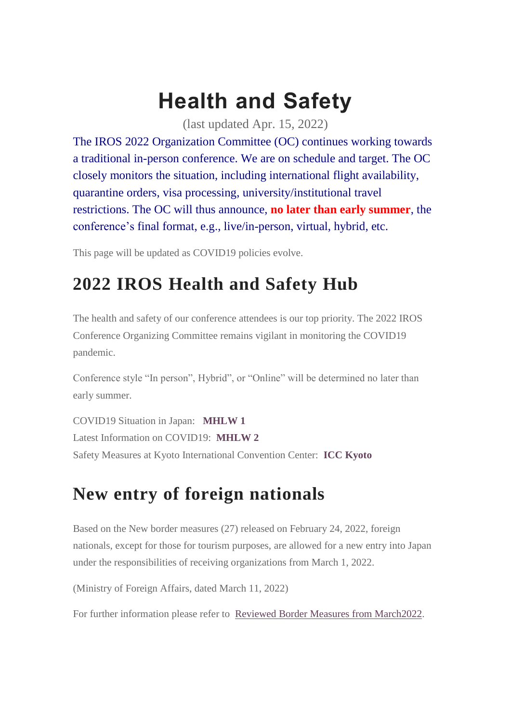## **Health and Safety**

(last updated Apr. 15, 2022)

The IROS 2022 Organization Committee (OC) continues working towards a traditional in-person conference. We are on schedule and target. The OC closely monitors the situation, including international flight availability, quarantine orders, visa processing, university/institutional travel restrictions. The OC will thus announce, **no later than early summer**, the conference's final format, e.g., live/in-person, virtual, hybrid, etc.

This page will be updated as COVID19 policies evolve.

## **2022 IROS Health and Safety Hub**

The health and safety of our conference attendees is our top priority. The 2022 IROS Conference Organizing Committee remains vigilant in monitoring the COVID19 pandemic.

Conference style "In person", Hybrid", or "Online" will be determined no later than early summer.

COVID19 Situation in Japan: **[MHLW](https://www.mhlw.go.jp/stf/covid-19/kokunainohasseijoukyou_00006.html#h2_1) 1** Latest Information on COVID19: **[MHLW](https://www.mhlw.go.jp/stf/seisakunitsuite/bunya/0000164708_00079.html) 2** Safety Measures at Kyoto International Convention Center: **ICC [Kyoto](https://www.icckyoto.or.jp/about_us-2/coronavirus/)**

## **New entry of foreign nationals**

Based on the New border measures (27) released on February 24, 2022, foreign nationals, except for those for tourism purposes, are allowed for a new entry into Japan under the responsibilities of receiving organizations from March 1, 2022.

(Ministry of Foreign Affairs, dated March 11, 2022)

For further information please refer to Reviewed Border Measures from [March2022.](https://www.mofa.go.jp/ca/cp/page22e_000925.html#:~:text=in%20Japanese)%20(PDF)-,1.%20Reviewed%20border%20measures%20from%20March%202022,-Based%20on%20the)